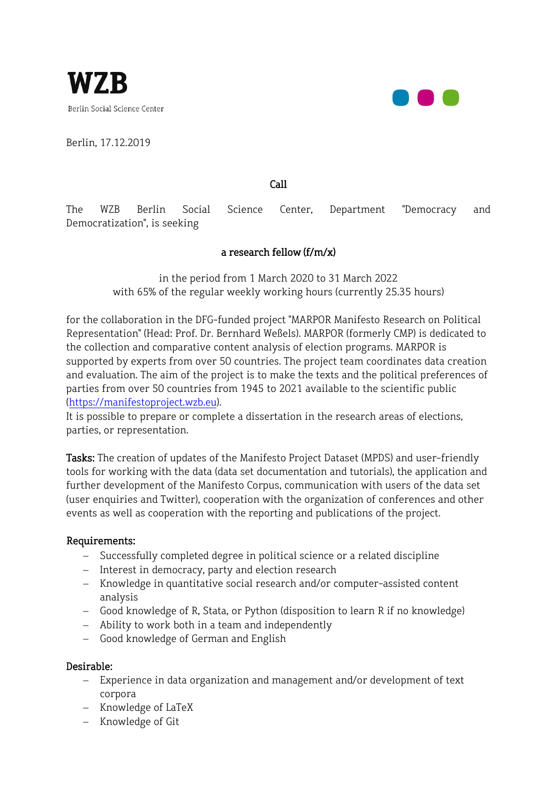

Berlin, 17.12.2019



Call

The WZB Berlin Social Science Center, Department "Democracy and Democratization", is seeking

## a research fellow (f/m/x)

in the period from 1 March 2020 to 31 March 2022 with 65% of the regular weekly working hours (currently 25.35 hours)

for the collaboration in the DFG-funded project "MARPOR Manifesto Research on Political Representation" (Head: Prof. Dr. Bernhard Weßels). MARPOR (formerly CMP) is dedicated to the collection and comparative content analysis of election programs. MARPOR is supported by experts from over 50 countries. The project team coordinates data creation and evaluation. The aim of the project is to make the texts and the political preferences of parties from over 50 countries from 1945 to 2021 available to the scientific public [\(https://manifestoproject.wzb.eu\).](https://manifestoproject.wzb.eu/)

It is possible to prepare or complete a dissertation in the research areas of elections, parties, or representation.

Tasks: The creation of updates of the Manifesto Project Dataset (MPDS) and user-friendly tools for working with the data (data set documentation and tutorials), the application and further development of the Manifesto Corpus, communication with users of the data set (user enquiries and Twitter), cooperation with the organization of conferences and other events as well as cooperation with the reporting and publications of the project.

## Requirements:

- − Successfully completed degree in political science or a related discipline
- − Interest in democracy, party and election research
- − Knowledge in quantitative social research and/or computer-assisted content analysis
- − Good knowledge of R, Stata, or Python (disposition to learn R if no knowledge)
- − Ability to work both in a team and independently
- − Good knowledge of German and English

## Desirable:

- − Experience in data organization and management and/or development of text corpora
- − Knowledge of LaTeX
- − Knowledge of Git